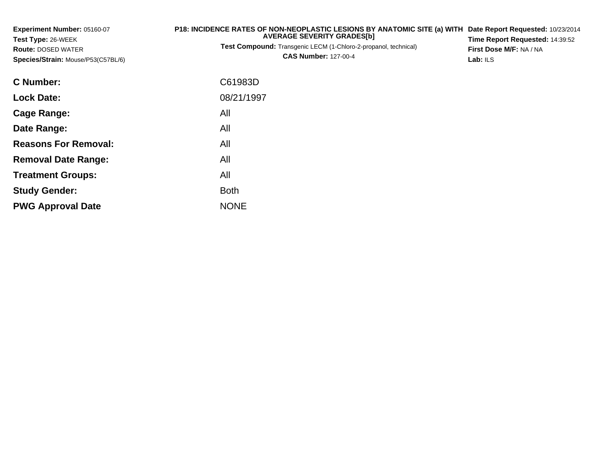| <b>Experiment Number: 05160-07</b><br><b>Test Type: 26-WEEK</b><br><b>Route: DOSED WATER</b><br>Species/Strain: Mouse/P53(C57BL/6) | P18: INCIDENCE RATES OF NON-NEOPLASTIC LESIONS BY ANATOMIC SITE (a) WITH<br><b>AVERAGE SEVERITY GRADES[b]</b><br>Test Compound: Transgenic LECM (1-Chloro-2-propanol, technical)<br><b>CAS Number: 127-00-4</b> | Date Report Requested: 10/23/2014<br>Time Report Requested: 14:39:52<br>First Dose M/F: NA / NA<br>Lab: $ILS$ |
|------------------------------------------------------------------------------------------------------------------------------------|-----------------------------------------------------------------------------------------------------------------------------------------------------------------------------------------------------------------|---------------------------------------------------------------------------------------------------------------|
| <b>C</b> Number:                                                                                                                   | C61983D                                                                                                                                                                                                         |                                                                                                               |
| <b>Lock Date:</b>                                                                                                                  | 08/21/1997                                                                                                                                                                                                      |                                                                                                               |
| <b>Cage Range:</b>                                                                                                                 | All                                                                                                                                                                                                             |                                                                                                               |
| Date Range:                                                                                                                        | All                                                                                                                                                                                                             |                                                                                                               |
| <b>Reasons For Removal:</b>                                                                                                        | All                                                                                                                                                                                                             |                                                                                                               |
| <b>Removal Date Range:</b>                                                                                                         | All                                                                                                                                                                                                             |                                                                                                               |
| <b>Treatment Groups:</b>                                                                                                           | All                                                                                                                                                                                                             |                                                                                                               |
| <b>Study Gender:</b>                                                                                                               | <b>Both</b>                                                                                                                                                                                                     |                                                                                                               |
| <b>PWG Approval Date</b>                                                                                                           | <b>NONE</b>                                                                                                                                                                                                     |                                                                                                               |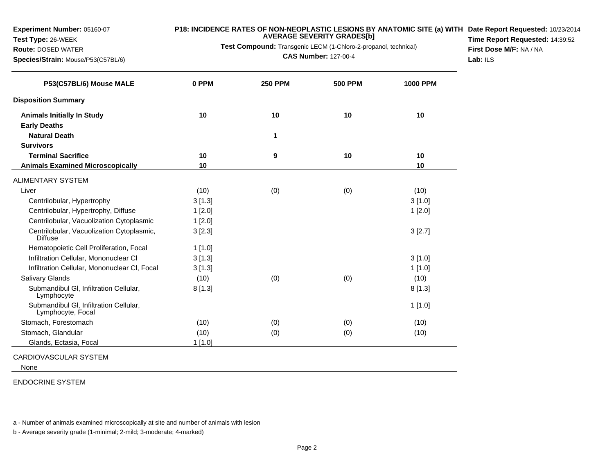**Test Type:** 26-WEEK**Route:** DOSED WATER

## **P18: INCIDENCE RATES OF NON-NEOPLASTIC LESIONS BY ANATOMIC SITE (a) WITH AVERAGE SEVERITY GRADES[b] Date Report Requested:** 10/23/2014

**Test Compound:** Transgenic LECM (1-Chloro-2-propanol, technical)

**Species/Strain:** Mouse/P53(C57BL/6)

**CAS Number:** 127-00-4

**Time Report Requested:** 14:39:52**First Dose M/F:** NA / NA**Lab:** ILS

| P53(C57BL/6) Mouse MALE                                     | 0 PPM     | <b>250 PPM</b> | <b>500 PPM</b> | <b>1000 PPM</b> |
|-------------------------------------------------------------|-----------|----------------|----------------|-----------------|
| <b>Disposition Summary</b>                                  |           |                |                |                 |
| <b>Animals Initially In Study</b>                           | 10        | 10             | 10             | 10              |
| <b>Early Deaths</b>                                         |           |                |                |                 |
| <b>Natural Death</b>                                        |           | 1              |                |                 |
| <b>Survivors</b>                                            |           |                |                |                 |
| <b>Terminal Sacrifice</b>                                   | 10        | 9              | 10             | 10              |
| <b>Animals Examined Microscopically</b>                     | 10        |                |                | 10              |
| <b>ALIMENTARY SYSTEM</b>                                    |           |                |                |                 |
| Liver                                                       | (10)      | (0)            | (0)            | (10)            |
| Centrilobular, Hypertrophy                                  | 3[1.3]    |                |                | 3[1.0]          |
| Centrilobular, Hypertrophy, Diffuse                         | 1[2.0]    |                |                | 1[2.0]          |
| Centrilobular, Vacuolization Cytoplasmic                    | 1[2.0]    |                |                |                 |
| Centrilobular, Vacuolization Cytoplasmic,<br><b>Diffuse</b> | 3[2.3]    |                |                | 3[2.7]          |
| Hematopoietic Cell Proliferation, Focal                     | $1$ [1.0] |                |                |                 |
| Infiltration Cellular, Mononuclear CI                       | 3[1.3]    |                |                | 3[1.0]          |
| Infiltration Cellular, Mononuclear CI, Focal                | 3[1.3]    |                |                | $1$ [1.0]       |
| Salivary Glands                                             | (10)      | (0)            | (0)            | (10)            |
| Submandibul GI, Infiltration Cellular,<br>Lymphocyte        | 8[1.3]    |                |                | 8[1.3]          |
| Submandibul GI, Infiltration Cellular,<br>Lymphocyte, Focal |           |                |                | 1[1.0]          |
| Stomach, Forestomach                                        | (10)      | (0)            | (0)            | (10)            |
| Stomach, Glandular                                          | (10)      | (0)            | (0)            | (10)            |
| Glands, Ectasia, Focal                                      | 1[1.0]    |                |                |                 |

None

ENDOCRINE SYSTEM

a - Number of animals examined microscopically at site and number of animals with lesion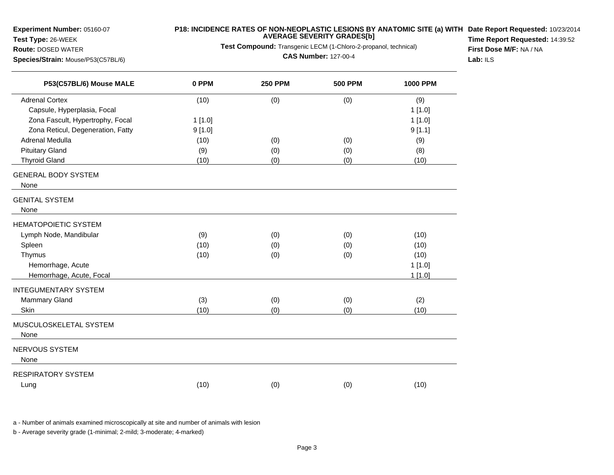# **Test Type:** 26-WEEK**Route:** DOSED WATER

## **P18: INCIDENCE RATES OF NON-NEOPLASTIC LESIONS BY ANATOMIC SITE (a) WITH AVERAGE SEVERITY GRADES[b] Date Report Requested:** 10/23/2014

**Test Compound:** Transgenic LECM (1-Chloro-2-propanol, technical)

**Species/Strain:** Mouse/P53(C57BL/6)

**CAS Number:** 127-00-4

**Time Report Requested:** 14:39:52**First Dose M/F:** NA / NA**Lab:** ILS

| (0)<br>(9)<br>1[1.0]<br>1[1.0]<br>9[1.1]<br>(0)<br>(9)<br>(8)<br>(0) |
|----------------------------------------------------------------------|
|                                                                      |
|                                                                      |
|                                                                      |
|                                                                      |
|                                                                      |
|                                                                      |
| (10)<br>(0)                                                          |
|                                                                      |
|                                                                      |
|                                                                      |
|                                                                      |
|                                                                      |
| (10)<br>(0)                                                          |
| (10)<br>(0)                                                          |
| (0)<br>(10)                                                          |
| 1[1.0]                                                               |
| 1[1.0]                                                               |
|                                                                      |
| (2)<br>(0)                                                           |
| (10)<br>(0)                                                          |
|                                                                      |
|                                                                      |
|                                                                      |
|                                                                      |
|                                                                      |
| (0)<br>(10)                                                          |
|                                                                      |

a - Number of animals examined microscopically at site and number of animals with lesion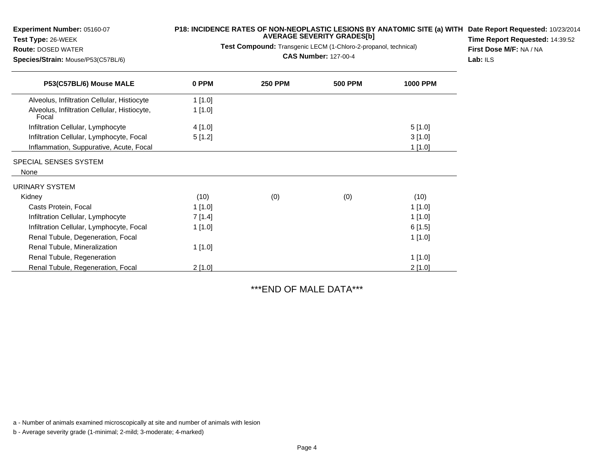| <b>Experiment Number: 05160-07</b>        | P18: INCIDENCE RATES OF NON-NEOPLASTIC LESIONS BY ANATOMIC SITE (a) WITH |
|-------------------------------------------|--------------------------------------------------------------------------|
| Test Type: 26-WEEK                        | <b>AVERAGE SEVERITY GRADESIbI</b>                                        |
| <b>Route: DOSED WATER</b>                 | <b>Test Compound:</b> Transgenic LECM (1-Chloro-2-propanol, technical)   |
| <b>Species/Strain: Mouse/P53(C57BL/6)</b> | <b>CAS Number: 127-00-4</b>                                              |

**Date Report Requested:** 10/23/2014 **Time Report Requested:** 14:39:52**First Dose M/F:** NA / NA**Lab:** ILS

| P53(C57BL/6) Mouse MALE                               | 0 PPM     | <b>250 PPM</b> | <b>500 PPM</b> | <b>1000 PPM</b> |
|-------------------------------------------------------|-----------|----------------|----------------|-----------------|
| Alveolus, Infiltration Cellular, Histiocyte           | $1$ [1.0] |                |                |                 |
| Alveolus, Infiltration Cellular, Histiocyte,<br>Focal | 1[1.0]    |                |                |                 |
| Infiltration Cellular, Lymphocyte                     | 4 [1.0]   |                |                | 5[1.0]          |
| Infiltration Cellular, Lymphocyte, Focal              | 5[1.2]    |                |                | 3[1.0]          |
| Inflammation, Suppurative, Acute, Focal               |           |                |                | 1[1.0]          |
| SPECIAL SENSES SYSTEM<br>None                         |           |                |                |                 |
| URINARY SYSTEM                                        |           |                |                |                 |
| Kidney                                                | (10)      | (0)            | (0)            | (10)            |
| Casts Protein, Focal                                  | 1[1.0]    |                |                | 1[1.0]          |
| Infiltration Cellular, Lymphocyte                     | 7[1.4]    |                |                | 1[1.0]          |
| Infiltration Cellular, Lymphocyte, Focal              | $1$ [1.0] |                |                | 6[1.5]          |
| Renal Tubule, Degeneration, Focal                     |           |                |                | 1[1.0]          |
| Renal Tubule, Mineralization                          | 1[1.0]    |                |                |                 |
| Renal Tubule, Regeneration                            |           |                |                | 1[1.0]          |
| Renal Tubule, Regeneration, Focal                     | $2$ [1.0] |                |                | 2[1.0]          |

\*\*\*END OF MALE DATA\*\*\*

a - Number of animals examined microscopically at site and number of animals with lesion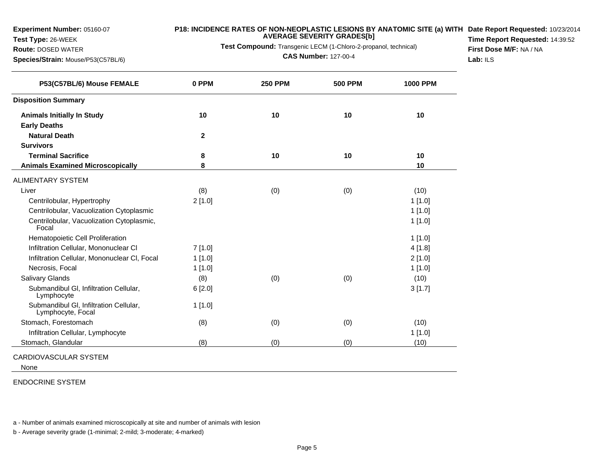**Test Type:** 26-WEEK

#### **Route:** DOSED WATER

**Species/Strain:** Mouse/P53(C57BL/6)

# **P18: INCIDENCE RATES OF NON-NEOPLASTIC LESIONS BY ANATOMIC SITE (a) WITH AVERAGE SEVERITY GRADES[b] Date Report Requested:** 10/23/2014

**Test Compound:** Transgenic LECM (1-Chloro-2-propanol, technical)

**CAS Number:** 127-00-4

**Time Report Requested:** 14:39:52**First Dose M/F:** NA / NA**Lab:** ILS

| P53(C57BL/6) Mouse FEMALE                                   | 0 PPM        | <b>250 PPM</b> | <b>500 PPM</b> | <b>1000 PPM</b> |
|-------------------------------------------------------------|--------------|----------------|----------------|-----------------|
| <b>Disposition Summary</b>                                  |              |                |                |                 |
| <b>Animals Initially In Study</b>                           | 10           | 10             | 10             | 10              |
| <b>Early Deaths</b>                                         |              |                |                |                 |
| <b>Natural Death</b>                                        | $\mathbf{2}$ |                |                |                 |
| <b>Survivors</b>                                            |              |                |                |                 |
| <b>Terminal Sacrifice</b>                                   | 8            | 10             | 10             | 10              |
| <b>Animals Examined Microscopically</b>                     | 8            |                |                | 10              |
| <b>ALIMENTARY SYSTEM</b>                                    |              |                |                |                 |
| Liver                                                       | (8)          | (0)            | (0)            | (10)            |
| Centrilobular, Hypertrophy                                  | 2[1.0]       |                |                | 1[1.0]          |
| Centrilobular, Vacuolization Cytoplasmic                    |              |                |                | 1[1.0]          |
| Centrilobular, Vacuolization Cytoplasmic,<br>Focal          |              |                |                | $1$ [1.0]       |
| Hematopoietic Cell Proliferation                            |              |                |                | $1$ [1.0]       |
| Infiltration Cellular, Mononuclear CI                       | 7[1.0]       |                |                | 4 [1.8]         |
| Infiltration Cellular, Mononuclear CI, Focal                | $1$ [1.0]    |                |                | 2[1.0]          |
| Necrosis, Focal                                             | $1$ [1.0]    |                |                | 1[1.0]          |
| Salivary Glands                                             | (8)          | (0)            | (0)            | (10)            |
| Submandibul GI, Infiltration Cellular,<br>Lymphocyte        | 6[2.0]       |                |                | 3[1.7]          |
| Submandibul GI, Infiltration Cellular,<br>Lymphocyte, Focal | 1[1.0]       |                |                |                 |
| Stomach, Forestomach                                        | (8)          | (0)            | (0)            | (10)            |
| Infiltration Cellular, Lymphocyte                           |              |                |                | 1[1.0]          |
| Stomach, Glandular                                          | (8)          | (0)            | (0)            | (10)            |

CARDIOVASCULAR SYSTEM

None

## ENDOCRINE SYSTEM

a - Number of animals examined microscopically at site and number of animals with lesion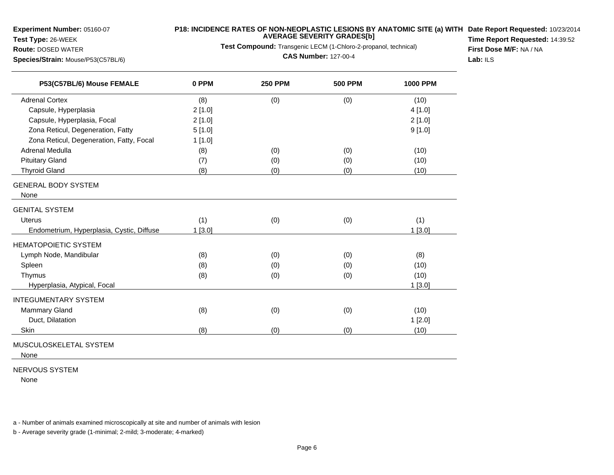# **Test Type:** 26-WEEK**Route:** DOSED WATER

# **P18: INCIDENCE RATES OF NON-NEOPLASTIC LESIONS BY ANATOMIC SITE (a) WITH AVERAGE SEVERITY GRADES[b]**

**Test Compound:** Transgenic LECM (1-Chloro-2-propanol, technical)

**Species/Strain:** Mouse/P53(C57BL/6)

**CAS Number:** 127-00-4

**Date Report Requested:** 10/23/2014 **Time Report Requested:** 14:39:52**First Dose M/F:** NA / NA**Lab:** ILS

| 0 PPM  | <b>250 PPM</b> | <b>500 PPM</b> | <b>1000 PPM</b> |
|--------|----------------|----------------|-----------------|
| (8)    | (0)            | (0)            | (10)            |
| 2[1.0] |                |                | 4 [1.0]         |
| 2[1.0] |                |                | 2[1.0]          |
| 5[1.0] |                |                | 9[1.0]          |
| 1[1.0] |                |                |                 |
| (8)    | (0)            | (0)            | (10)            |
| (7)    | (0)            | (0)            | (10)            |
| (8)    | (0)            | (0)            | (10)            |
|        |                |                |                 |
|        |                |                |                 |
|        |                |                |                 |
| (1)    | (0)            | (0)            | (1)             |
| 1[3.0] |                |                | 1[3.0]          |
|        |                |                |                 |
| (8)    | (0)            | (0)            | (8)             |
| (8)    | (0)            | (0)            | (10)            |
| (8)    | (0)            | (0)            | (10)            |
|        |                |                | 1[3.0]          |
|        |                |                |                 |
|        |                |                | (10)            |
|        |                |                | 1[2.0]          |
| (8)    | (0)            | (0)            | (10)            |
|        | (8)            | (0)            | (0)             |

MUSCULOSKELETAL SYSTEM

None

# NERVOUS SYSTEM

None

a - Number of animals examined microscopically at site and number of animals with lesion